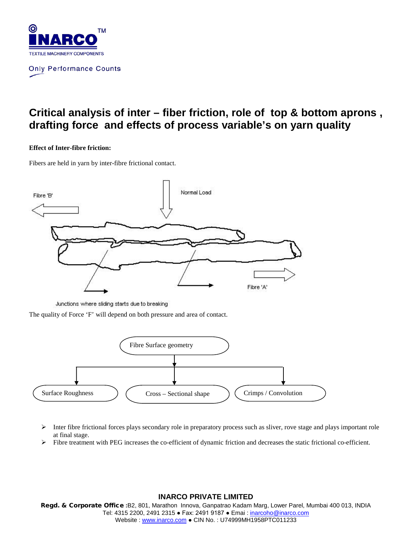

# **Critical analysis of inter – fiber friction, role of top & bottom aprons , drafting force and effects of process variable's on yarn quality**

#### **Effect of Inter-fibre friction:**

Fibers are held in yarn by inter-fibre frictional contact.



Junctions where sliding starts due to breaking

The quality of Force 'F' will depend on both pressure and area of contact.



- $\triangleright$  Inter fibre frictional forces plays secondary role in preparatory process such as sliver, rove stage and plays important role at final stage.
- $\triangleright$  Fibre treatment with PEG increases the co-efficient of dynamic friction and decreases the static frictional co-efficient.

### **INARCO PRIVATE LIMITED**

Regd. & Corporate Office **:**B2, 801, Marathon Innova, Ganpatrao Kadam Marg, Lower Parel, Mumbai 400 013, INDIA Tel: 4315 2200, 2491 2315 ● Fax: 2491 9187 ● Emai [: inarcoho@inarco.com](mailto:inarcoho@inarco.com) Website : [www.inarco.com](http://www.inarco.com/) ● CIN No. : U74999MH1958PTC011233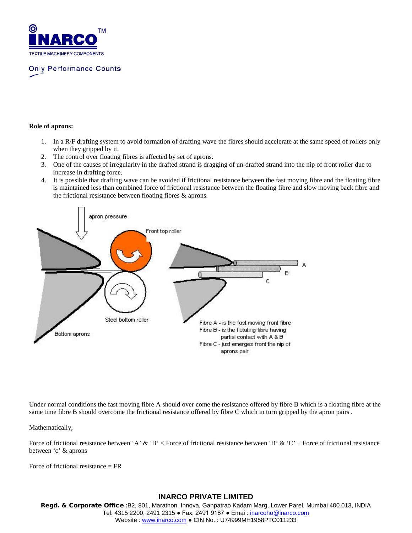

#### **Role of aprons:**

- 1. In a R/F drafting system to avoid formation of drafting wave the fibres should accelerate at the same speed of rollers only when they gripped by it.
- 2. The control over floating fibres is affected by set of aprons.
- 3. One of the causes of irregularity in the drafted strand is dragging of un-drafted strand into the nip of front roller due to increase in drafting force.
- 4. It is possible that drafting wave can be avoided if frictional resistance between the fast moving fibre and the floating fibre is maintained less than combined force of frictional resistance between the floating fibre and slow moving back fibre and the frictional resistance between floating fibres & aprons.



Under normal conditions the fast moving fibre A should over come the resistance offered by fibre B which is a floating fibre at the same time fibre B should overcome the frictional resistance offered by fibre C which in turn gripped by the apron pairs .

Mathematically,

Force of frictional resistance between 'A' & 'B' < Force of frictional resistance between 'B' & 'C' + Force of frictional resistance between 'c' & aprons

Force of frictional resistance  $= FR$ 

#### **INARCO PRIVATE LIMITED**

Regd. & Corporate Office **:**B2, 801, Marathon Innova, Ganpatrao Kadam Marg, Lower Parel, Mumbai 400 013, INDIA Tel: 4315 2200, 2491 2315 ● Fax: 2491 9187 ● Emai [: inarcoho@inarco.com](mailto:inarcoho@inarco.com) Website: [www.inarco.com](http://www.inarco.com/) • CIN No.: U74999MH1958PTC011233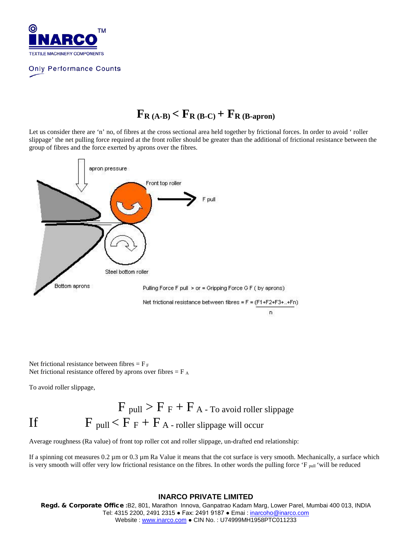

# $F_{R(A-B)} < F_{R(B-C)} + F_{R(B-approx)}$

Let us consider there are 'n' no, of fibres at the cross sectional area held together by frictional forces. In order to avoid ' roller slippage' the net pulling force required at the front roller should be greater than the additional of frictional resistance between the group of fibres and the force exerted by aprons over the fibres.



Net frictional resistance between fibres  $=$   $F_F$ Net frictional resistance offered by aprons over fibres  $=$  F  $_A$ 

To avoid roller slippage,

$$
F_{pull} > F_F + F_A - T_0 \text{ avoid roller slippage}
$$
  
If 
$$
F_{ pull} < F_F + F_A - \text{roller slippage will occur}
$$

Average roughness (Ra value) of front top roller cot and roller slippage, un-drafted end relationship:

If a spinning cot measures 0.2 µm or 0.3 µm Ra Value it means that the cot surface is very smooth. Mechanically, a surface which is very smooth will offer very low frictional resistance on the fibres. In other words the pulling force 'F  $_{\text{pull}}$ ' will be reduced

#### **INARCO PRIVATE LIMITED**

Regd. & Corporate Office **:**B2, 801, Marathon Innova, Ganpatrao Kadam Marg, Lower Parel, Mumbai 400 013, INDIA Tel: 4315 2200, 2491 2315 ● Fax: 2491 9187 ● Emai [: inarcoho@inarco.com](mailto:inarcoho@inarco.com) Website : [www.inarco.com](http://www.inarco.com/) ● CIN No. : U74999MH1958PTC011233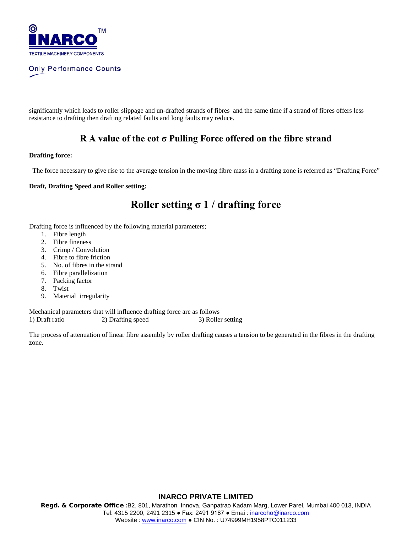

significantly which leads to roller slippage and un-drafted strands of fibres and the same time if a strand of fibres offers less resistance to drafting then drafting related faults and long faults may reduce.

### **R A value of the cot σ Pulling Force offered on the fibre strand**

#### **Drafting force:**

The force necessary to give rise to the average tension in the moving fibre mass in a drafting zone is referred as "Drafting Force"

#### **Draft, Drafting Speed and Roller setting:**

## **Roller setting σ 1 / drafting force**

Drafting force is influenced by the following material parameters;

- 1. Fibre length
- 2. Fibre fineness
- 3. Crimp / Convolution
- 4. Fibre to fibre friction
- 5. No. of fibres in the strand
- 6. Fibre parallelization
- 7. Packing factor
- 8. Twist
- 9. Material irregularity

Mechanical parameters that will influence drafting force are as follows 1) Draft ratio 2) Drafting speed 3) Roller setting

The process of attenuation of linear fibre assembly by roller drafting causes a tension to be generated in the fibres in the drafting zone.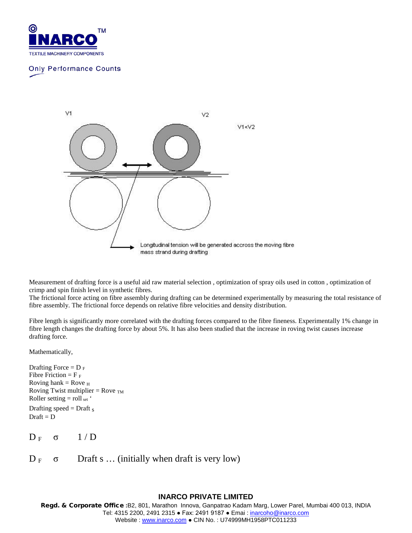



Measurement of drafting force is a useful aid raw material selection , optimization of spray oils used in cotton , optimization of crimp and spin finish level in synthetic fibres.

The frictional force acting on fibre assembly during drafting can be determined experimentally by measuring the total resistance of fibre assembly. The frictional force depends on relative fibre velocities and density distribution.

Fibre length is significantly more correlated with the drafting forces compared to the fibre fineness. Experimentally 1% change in fibre length changes the drafting force by about 5%. It has also been studied that the increase in roving twist causes increase drafting force.

Mathematically,

Drafting Force =  $D_F$ Fibre Friction =  $F_F$ Roving hank = Rove  $_H$ Roving Twist multiplier = Rove  $_{TM}$ Roller setting  $=$  roll set  $\dot{ }$ Drafting speed = Draft  $s$  $Draft = D$ 

 $D_F \quad \sigma \quad 1/D$ 

 $D_F \quad \sigma$  Draft s ... (initially when draft is very low)

#### **INARCO PRIVATE LIMITED**

Regd. & Corporate Office **:**B2, 801, Marathon Innova, Ganpatrao Kadam Marg, Lower Parel, Mumbai 400 013, INDIA Tel: 4315 2200, 2491 2315 ● Fax: 2491 9187 ● Emai [: inarcoho@inarco.com](mailto:inarcoho@inarco.com) Website : [www.inarco.com](http://www.inarco.com/) ● CIN No. : U74999MH1958PTC011233